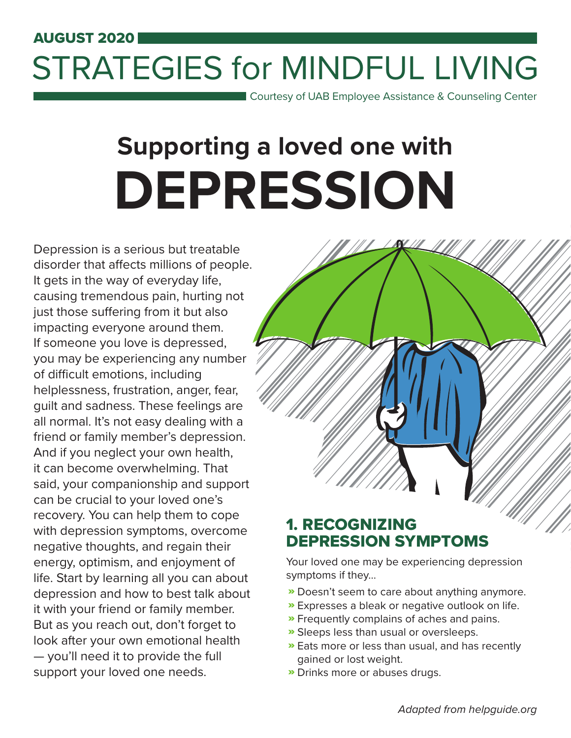# AUGUST 2020 STRATEGIES for MINDFUL LIVING

Courtesy of UAB Employee Assistance & Counseling Center

# **Supporting a loved one with DEPRESSION**

Depression is a serious but treatable disorder that affects millions of people. It gets in the way of everyday life, causing tremendous pain, hurting not just those suffering from it but also impacting everyone around them. If someone you love is depressed, you may be experiencing any number of difficult emotions, including helplessness, frustration, anger, fear, guilt and sadness. These feelings are all normal. It's not easy dealing with a friend or family member's depression. And if you neglect your own health, it can become overwhelming. That said, your companionship and support can be crucial to your loved one's recovery. You can help them to cope with depression symptoms, overcome negative thoughts, and regain their energy, optimism, and enjoyment of life. Start by learning all you can about depression and how to best talk about it with your friend or family member. But as you reach out, don't forget to look after your own emotional health — you'll need it to provide the full support your loved one needs.



# 1. RECOGNIZING DEPRESSION SYMPTOMS

Your loved one may be experiencing depression symptoms if they...

- **»** Doesn't seem to care about anything anymore.
- Expresses a bleak or negative outlook on life. »
- **»** Frequently complains of aches and pains.
- **»** Sleeps less than usual or oversleeps.
- **»** Eats more or less than usual, and has recently gained or lost weight.
- **»** Drinks more or abuses drugs.